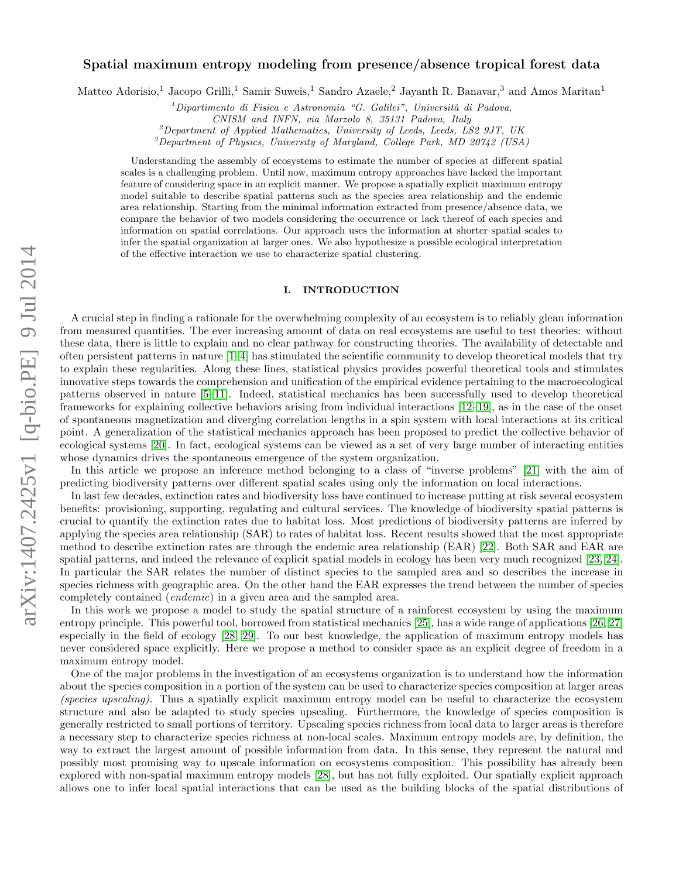# arXiv:1407.2425v1 [q-bio.PE] 9 Jul 2014 arXiv:1407.2425v1 [q-bio.PE] 9 Jul 2014

# Spatial maximum entropy modeling from presence/absence tropical forest data

Matteo Adorisio,<sup>1</sup> Jacopo Grilli,<sup>1</sup> Samir Suweis,<sup>1</sup> Sandro Azaele,<sup>2</sup> Jayanth R. Banavar,<sup>3</sup> and Amos Maritan<sup>1</sup>

 ${}^{1}$ Dipartimento di Fisica e Astronomia "G. Galilei", Università di Padova,

 $^{2}$ Department of Applied Mathematics, University of Leeds, Leeds, LS2 9JT, UK

<sup>3</sup>Department of Physics, University of Maryland, College Park, MD 20742 (USA)

Understanding the assembly of ecosystems to estimate the number of species at different spatial scales is a challenging problem. Until now, maximum entropy approaches have lacked the important feature of considering space in an explicit manner. We propose a spatially explicit maximum entropy model suitable to describe spatial patterns such as the species area relationship and the endemic area relationship. Starting from the minimal information extracted from presence/absence data, we compare the behavior of two models considering the occurrence or lack thereof of each species and information on spatial correlations. Our approach uses the information at shorter spatial scales to infer the spatial organization at larger ones. We also hypothesize a possible ecological interpretation of the effective interaction we use to characterize spatial clustering.

# I. INTRODUCTION

A crucial step in finding a rationale for the overwhelming complexity of an ecosystem is to reliably glean information from measured quantities. The ever increasing amount of data on real ecosystems are useful to test theories: without these data, there is little to explain and no clear pathway for constructing theories. The availability of detectable and often persistent patterns in nature [\[1–](#page-8-0)[4\]](#page-8-1) has stimulated the scientific community to develop theoretical models that try to explain these regularities. Along these lines, statistical physics provides powerful theoretical tools and stimulates innovative steps towards the comprehension and unification of the empirical evidence pertaining to the macroecological patterns observed in nature [\[5](#page-8-2)[–11\]](#page-9-0). Indeed, statistical mechanics has been successfully used to develop theoretical frameworks for explaining collective behaviors arising from individual interactions [\[12–](#page-9-1)[19\]](#page-9-2), as in the case of the onset of spontaneous magnetization and diverging correlation lengths in a spin system with local interactions at its critical point. A generalization of the statistical mechanics approach has been proposed to predict the collective behavior of ecological systems [\[20\]](#page-9-3). In fact, ecological systems can be viewed as a set of very large number of interacting entities whose dynamics drives the spontaneous emergence of the system organization.

In this article we propose an inference method belonging to a class of "inverse problems" [\[21\]](#page-9-4) with the aim of predicting biodiversity patterns over different spatial scales using only the information on local interactions.

In last few decades, extinction rates and biodiversity loss have continued to increase putting at risk several ecosystem benefits: provisioning, supporting, regulating and cultural services. The knowledge of biodiversity spatial patterns is crucial to quantify the extinction rates due to habitat loss. Most predictions of biodiversity patterns are inferred by applying the species area relationship (SAR) to rates of habitat loss. Recent results showed that the most appropriate method to describe extinction rates are through the endemic area relationship (EAR) [\[22\]](#page-9-5). Both SAR and EAR are spatial patterns, and indeed the relevance of explicit spatial models in ecology has been very much recognized [\[23,](#page-9-6) [24\]](#page-9-7). In particular the SAR relates the number of distinct species to the sampled area and so describes the increase in species richness with geographic area. On the other hand the EAR expresses the trend between the number of species completely contained (endemic) in a given area and the sampled area.

In this work we propose a model to study the spatial structure of a rainforest ecosystem by using the maximum entropy principle. This powerful tool, borrowed from statistical mechanics [\[25\]](#page-9-8), has a wide range of applications [\[26,](#page-9-9) [27\]](#page-9-10) especially in the field of ecology [\[28,](#page-9-11) [29\]](#page-9-12). To our best knowledge, the application of maximum entropy models has never considered space explicitly. Here we propose a method to consider space as an explicit degree of freedom in a maximum entropy model.

One of the major problems in the investigation of an ecosystems organization is to understand how the information about the species composition in a portion of the system can be used to characterize species composition at larger areas (species upscaling). Thus a spatially explicit maximum entropy model can be useful to characterize the ecosystem structure and also be adapted to study species upscaling. Furthermore, the knowledge of species composition is generally restricted to small portions of territory. Upscaling species richness from local data to larger areas is therefore a necessary step to characterize species richness at non-local scales. Maximum entropy models are, by definition, the way to extract the largest amount of possible information from data. In this sense, they represent the natural and possibly most promising way to upscale information on ecosystems composition. This possibility has already been explored with non-spatial maximum entropy models [\[28\]](#page-9-11), but has not fully exploited. Our spatially explicit approach allows one to infer local spatial interactions that can be used as the building blocks of the spatial distributions of

CNISM and INFN, via Marzolo 8, 35131 Padova, Italy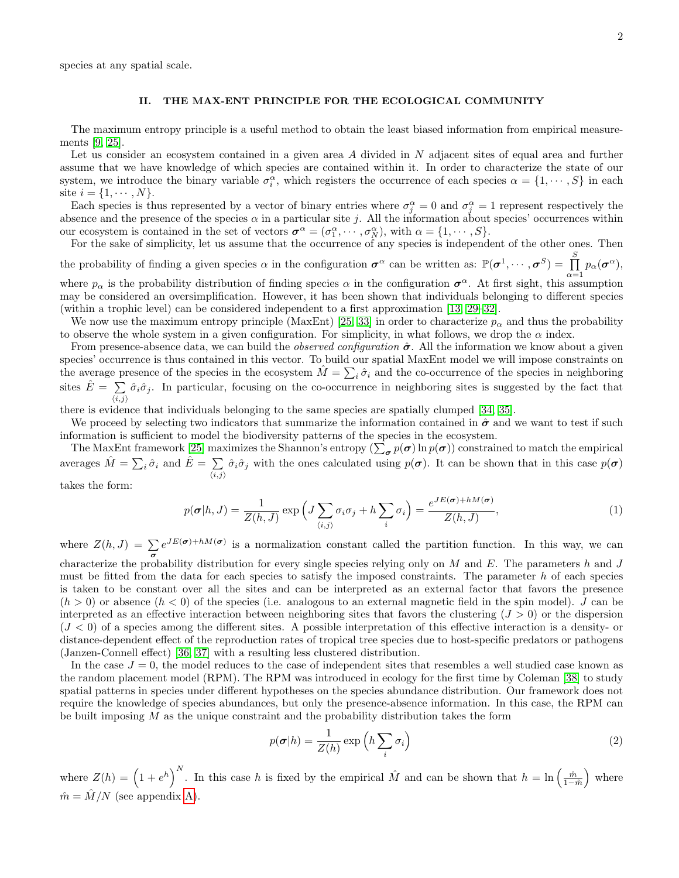species at any spatial scale.

# II. THE MAX-ENT PRINCIPLE FOR THE ECOLOGICAL COMMUNITY

The maximum entropy principle is a useful method to obtain the least biased information from empirical measurements [\[9,](#page-9-13) [25\]](#page-9-8).

Let us consider an ecosystem contained in a given area A divided in N adjacent sites of equal area and further assume that we have knowledge of which species are contained within it. In order to characterize the state of our system, we introduce the binary variable  $\sigma_i^{\alpha}$ , which registers the occurrence of each species  $\alpha = \{1, \dots, S\}$  in each site  $i = \{1, \dots, N\}.$ 

Each species is thus represented by a vector of binary entries where  $\sigma_j^{\alpha} = 0$  and  $\sigma_j^{\alpha} = 1$  represent respectively the absence and the presence of the species  $\alpha$  in a particular site j. All the information about species' occurrences within our ecosystem is contained in the set of vectors  $\boldsymbol{\sigma}^{\alpha} = (\sigma_1^{\alpha}, \cdots, \sigma_N^{\alpha}),$  with  $\alpha = \{1, \cdots, S\}.$ 

For the sake of simplicity, let us assume that the occurrence of any species is independent of the other ones. Then the probability of finding a given species  $\alpha$  in the configuration  $\sigma^{\alpha}$  can be written as:  $\mathbb{P}(\sigma^1, \dots, \sigma^S) = \prod^S$  $\prod_{\alpha=1} p_{\alpha}(\boldsymbol{\sigma}^{\alpha}),$ 

where  $p_\alpha$  is the probability distribution of finding species  $\alpha$  in the configuration  $\sigma^\alpha$ . At first sight, this assumption may be considered an oversimplification. However, it has been shown that individuals belonging to different species (within a trophic level) can be considered independent to a first approximation [\[13,](#page-9-14) [29](#page-9-12)[–32\]](#page-9-15).

We now use the maximum entropy principle (MaxEnt) [\[25,](#page-9-8) [33\]](#page-9-16) in order to characterize  $p_\alpha$  and thus the probability to observe the whole system in a given configuration. For simplicity, in what follows, we drop the  $\alpha$  index.

From presence-absence data, we can build the *observed configuration*  $\hat{\sigma}$ . All the information we know about a given species' occurrence is thus contained in this vector. To build our spatial MaxEnt model we will impose constraints on the average presence of the species in the ecosystem  $\hat{M} = \sum_i \hat{\sigma}_i$  and the co-occurrence of the species in neighboring sites  $\hat{E} = \sum$  $\sum_{i,j} \hat{\sigma}_i \hat{\sigma}_j$ . In particular, focusing on the co-occurrence in neighboring sites is suggested by the fact that

there is evidence that individuals belonging to the same species are spatially clumped [\[34,](#page-9-17) [35\]](#page-9-18).

We proceed by selecting two indicators that summarize the information contained in  $\hat{\sigma}$  and we want to test if such information is sufficient to model the biodiversity patterns of the species in the ecosystem.

The MaxEnt framework [\[25\]](#page-9-8) maximizes the Shannon's entropy  $(\sum_{\bm{\sigma}} p(\bm{\sigma}) \ln p(\bm{\sigma}))$  constrained to match the empirical averages  $\hat{M} = \sum_{i} \hat{\sigma}_i$  and  $\hat{E} = \sum_{i} \hat{\sigma}_i$  $\sum_{i,j} \hat{\sigma}_i \hat{\sigma}_j$  with the ones calculated using  $p(\boldsymbol{\sigma})$ . It can be shown that in this case  $p(\boldsymbol{\sigma})$ 

takes the form:

$$
p(\boldsymbol{\sigma}|h, J) = \frac{1}{Z(h, J)} \exp\left(J \sum_{\langle i,j \rangle} \sigma_i \sigma_j + h \sum_i \sigma_i\right) = \frac{e^{JE(\boldsymbol{\sigma}) + hM(\boldsymbol{\sigma})}}{Z(h, J)},
$$
(1)

where  $Z(h, J) = \sum_{\sigma} e^{JE(\sigma) + hM(\sigma)}$  is a normalization constant called the partition function. In this way, we can characterize the probability distribution for every single species relying only on  $M$  and  $E$ . The parameters h and  $J$ must be fitted from the data for each species to satisfy the imposed constraints. The parameter  $h$  of each species is taken to be constant over all the sites and can be interpreted as an external factor that favors the presence  $(h > 0)$  or absence  $(h < 0)$  of the species (i.e. analogous to an external magnetic field in the spin model). J can be interpreted as an effective interaction between neighboring sites that favors the clustering  $(J > 0)$  or the dispersion  $(J < 0)$  of a species among the different sites. A possible interpretation of this effective interaction is a density- or distance-dependent effect of the reproduction rates of tropical tree species due to host-specific predators or pathogens (Janzen-Connell effect) [\[36,](#page-9-19) [37\]](#page-9-20) with a resulting less clustered distribution.

In the case  $J = 0$ , the model reduces to the case of independent sites that resembles a well studied case known as the random placement model (RPM). The RPM was introduced in ecology for the first time by Coleman [\[38\]](#page-9-21) to study spatial patterns in species under different hypotheses on the species abundance distribution. Our framework does not require the knowledge of species abundances, but only the presence-absence information. In this case, the RPM can be built imposing M as the unique constraint and the probability distribution takes the form

$$
p(\boldsymbol{\sigma}|h) = \frac{1}{Z(h)} \exp\left(h \sum_{i} \sigma_{i}\right)
$$
 (2)

where  $Z(h) = \left(1 + e^h\right)^N$ . In this case h is fixed by the empirical  $\hat{M}$  and can be shown that  $h = \ln\left(\frac{\hat{m}}{1-\hat{m}}\right)$  where  $\hat{m} = \hat{M}/N$  (see appendix [A\)](#page-8-3).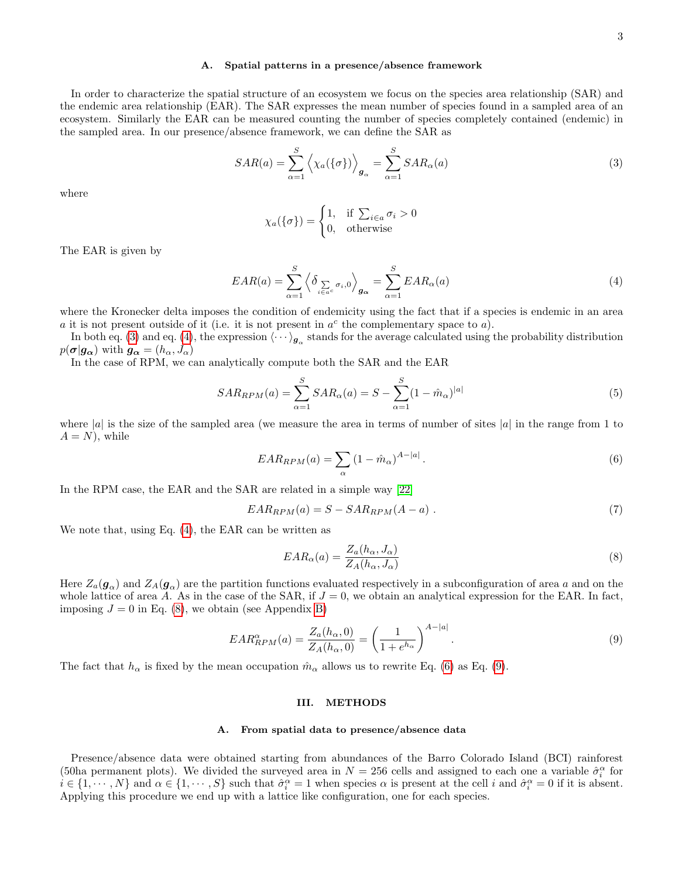#### A. Spatial patterns in a presence/absence framework

In order to characterize the spatial structure of an ecosystem we focus on the species area relationship (SAR) and the endemic area relationship (EAR). The SAR expresses the mean number of species found in a sampled area of an ecosystem. Similarly the EAR can be measured counting the number of species completely contained (endemic) in the sampled area. In our presence/absence framework, we can define the SAR as

<span id="page-2-0"></span>
$$
SAR(a) = \sum_{\alpha=1}^{S} \left\langle \chi_a(\{\sigma\}) \right\rangle_{\mathbf{g}_{\alpha}} = \sum_{\alpha=1}^{S} SAR_{\alpha}(a)
$$
\n(3)

where

$$
\chi_a(\{\sigma\}) = \begin{cases} 1, & \text{if } \sum_{i \in a} \sigma_i > 0 \\ 0, & \text{otherwise} \end{cases}
$$

The EAR is given by

<span id="page-2-1"></span>
$$
EAR(a) = \sum_{\alpha=1}^{S} \left\langle \delta_{\sum_{i \in a^c} \sigma_i, 0} \right\rangle_{\mathbf{g}_{\alpha}} = \sum_{\alpha=1}^{S} EAR_{\alpha}(a)
$$
\n(4)

where the Kronecker delta imposes the condition of endemicity using the fact that if a species is endemic in an area a it is not present outside of it (i.e. it is not present in  $a^c$  the complementary space to a).

In both eq. [\(3\)](#page-2-0) and eq. [\(4\)](#page-2-1), the expression  $\langle \cdots \rangle_{g_\alpha}$  stands for the average calculated using the probability distribution  $p(\boldsymbol{\sigma}|g_{\boldsymbol{\alpha}})$  with  $g_{\boldsymbol{\alpha}} = (h_{\alpha}, J_{\alpha})$ 

In the case of RPM, we can analytically compute both the SAR and the EAR

$$
SAR_{RPM}(a) = \sum_{\alpha=1}^{S} SAR_{\alpha}(a) = S - \sum_{\alpha=1}^{S} (1 - \hat{m}_{\alpha})^{|a|}
$$
(5)

where |a| is the size of the sampled area (we measure the area in terms of number of sites |a| in the range from 1 to  $A = N$ , while

<span id="page-2-3"></span>
$$
EAR_{RPM}(a) = \sum_{\alpha} \left(1 - \hat{m}_{\alpha}\right)^{A - |a|}.
$$
\n<sup>(6)</sup>

In the RPM case, the EAR and the SAR are related in a simple way [\[22\]](#page-9-5)

$$
EAR_{RPM}(a) = S - SAR_{RPM}(A - a) . \t\t(7)
$$

We note that, using Eq. [\(4\)](#page-2-1), the EAR can be written as

<span id="page-2-2"></span>
$$
EAR_{\alpha}(a) = \frac{Z_a(h_{\alpha}, J_{\alpha})}{Z_A(h_{\alpha}, J_{\alpha})}
$$
\n
$$
(8)
$$

Here  $Z_a(\mathbf{g}_{\alpha})$  and  $Z_A(\mathbf{g}_{\alpha})$  are the partition functions evaluated respectively in a subconfiguration of area a and on the whole lattice of area A. As in the case of the SAR, if  $J = 0$ , we obtain an analytical expression for the EAR. In fact, imposing  $J = 0$  in Eq. [\(8\)](#page-2-2), we obtain (see Appendix [B\)](#page-8-4)

<span id="page-2-4"></span>
$$
EAR_{RPM}^{\alpha}(a) = \frac{Z_a(h_{\alpha}, 0)}{Z_A(h_{\alpha}, 0)} = \left(\frac{1}{1 + e^{h_{\alpha}}}\right)^{A - |a|}.
$$
\n(9)

The fact that  $h_{\alpha}$  is fixed by the mean occupation  $\hat{m}_{\alpha}$  allows us to rewrite Eq. [\(6\)](#page-2-3) as Eq. [\(9\)](#page-2-4).

## III. METHODS

#### <span id="page-2-5"></span>A. From spatial data to presence/absence data

Presence/absence data were obtained starting from abundances of the Barro Colorado Island (BCI) rainforest (50ha permanent plots). We divided the surveyed area in  $N = 256$  cells and assigned to each one a variable  $\hat{\sigma}_i^{\alpha}$  for  $i \in \{1, \dots, N\}$  and  $\alpha \in \{1, \dots, S\}$  such that  $\hat{\sigma}_i^{\alpha} = 1$  when species  $\alpha$  is present at the cell i and  $\hat{\sigma}_i^{\alpha} = 0$  if it is absent. Applying this procedure we end up with a lattice like configuration, one for each species.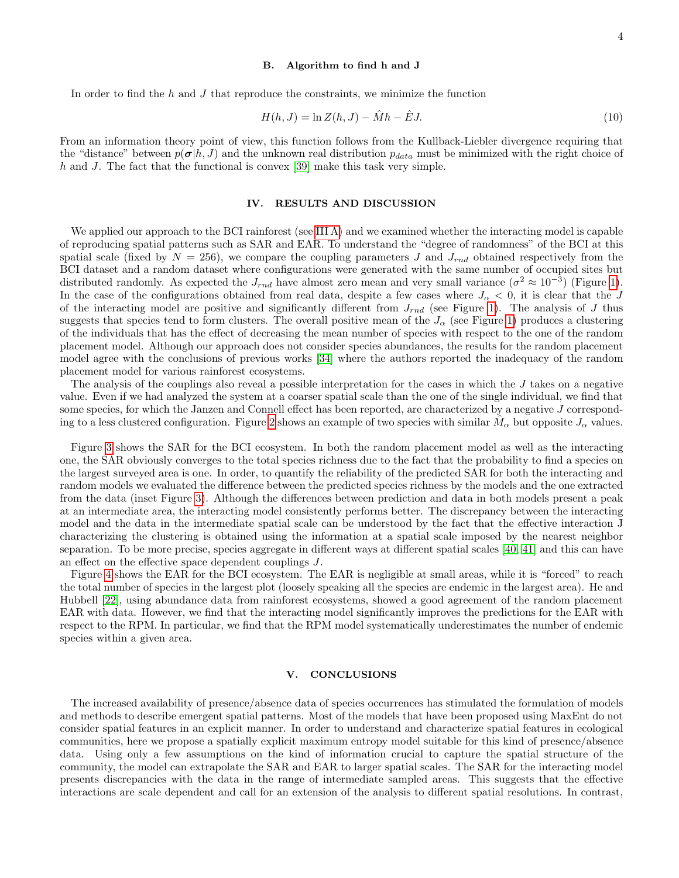# B. Algorithm to find h and J

In order to find the  $h$  and  $J$  that reproduce the constraints, we minimize the function

$$
H(h, J) = \ln Z(h, J) - \hat{M}h - \hat{E}J.
$$
\n(10)

From an information theory point of view, this function follows from the Kullback-Liebler divergence requiring that the "distance" between  $p(\sigma|h, J)$  and the unknown real distribution  $p_{data}$  must be minimized with the right choice of h and J. The fact that the functional is convex  $[39]$  make this task very simple.

### IV. RESULTS AND DISCUSSION

We applied our approach to the BCI rainforest (see [III A\)](#page-2-5) and we examined whether the interacting model is capable of reproducing spatial patterns such as SAR and EAR. To understand the "degree of randomness" of the BCI at this spatial scale (fixed by  $N = 256$ ), we compare the coupling parameters J and  $J_{rnd}$  obtained respectively from the BCI dataset and a random dataset where configurations were generated with the same number of occupied sites but distributed randomly. As expected the  $J_{rnd}$  have almost zero mean and very small variance  $(\sigma^2 \approx 10^{-3})$  (Figure [1\)](#page-4-0). In the case of the configurations obtained from real data, despite a few cases where  $J_{\alpha} < 0$ , it is clear that the J of the interacting model are positive and significantly different from  $J_{rnd}$  (see Figure [1\)](#page-4-0). The analysis of J thus suggests that species tend to form clusters. The overall positive mean of the  $J_{\alpha}$  (see Figure [1\)](#page-4-0) produces a clustering of the individuals that has the effect of decreasing the mean number of species with respect to the one of the random placement model. Although our approach does not consider species abundances, the results for the random placement model agree with the conclusions of previous works [\[34\]](#page-9-17) where the authors reported the inadequacy of the random placement model for various rainforest ecosystems.

The analysis of the couplings also reveal a possible interpretation for the cases in which the  $J$  takes on a negative value. Even if we had analyzed the system at a coarser spatial scale than the one of the single individual, we find that some species, for which the Janzen and Connell effect has been reported, are characterized by a negative J correspond-ing to a less clustered configuration. Figure [2](#page-5-0) shows an example of two species with similar  $\tilde{M}_\alpha$  but opposite  $J_\alpha$  values.

Figure [3](#page-6-0) shows the SAR for the BCI ecosystem. In both the random placement model as well as the interacting one, the SAR obviously converges to the total species richness due to the fact that the probability to find a species on the largest surveyed area is one. In order, to quantify the reliability of the predicted SAR for both the interacting and random models we evaluated the difference between the predicted species richness by the models and the one extracted from the data (inset Figure [3\)](#page-6-0). Although the differences between prediction and data in both models present a peak at an intermediate area, the interacting model consistently performs better. The discrepancy between the interacting model and the data in the intermediate spatial scale can be understood by the fact that the effective interaction J characterizing the clustering is obtained using the information at a spatial scale imposed by the nearest neighbor separation. To be more precise, species aggregate in different ways at different spatial scales [\[40,](#page-9-23) [41\]](#page-9-24) and this can have an effect on the effective space dependent couplings J.

Figure [4](#page-7-0) shows the EAR for the BCI ecosystem. The EAR is negligible at small areas, while it is "forced" to reach the total number of species in the largest plot (loosely speaking all the species are endemic in the largest area). He and Hubbell [\[22\]](#page-9-5), using abundance data from rainforest ecosystems, showed a good agreement of the random placement EAR with data. However, we find that the interacting model significantly improves the predictions for the EAR with respect to the RPM. In particular, we find that the RPM model systematically underestimates the number of endemic species within a given area.

## V. CONCLUSIONS

The increased availability of presence/absence data of species occurrences has stimulated the formulation of models and methods to describe emergent spatial patterns. Most of the models that have been proposed using MaxEnt do not consider spatial features in an explicit manner. In order to understand and characterize spatial features in ecological communities, here we propose a spatially explicit maximum entropy model suitable for this kind of presence/absence data. Using only a few assumptions on the kind of information crucial to capture the spatial structure of the community, the model can extrapolate the SAR and EAR to larger spatial scales. The SAR for the interacting model presents discrepancies with the data in the range of intermediate sampled areas. This suggests that the effective interactions are scale dependent and call for an extension of the analysis to different spatial resolutions. In contrast,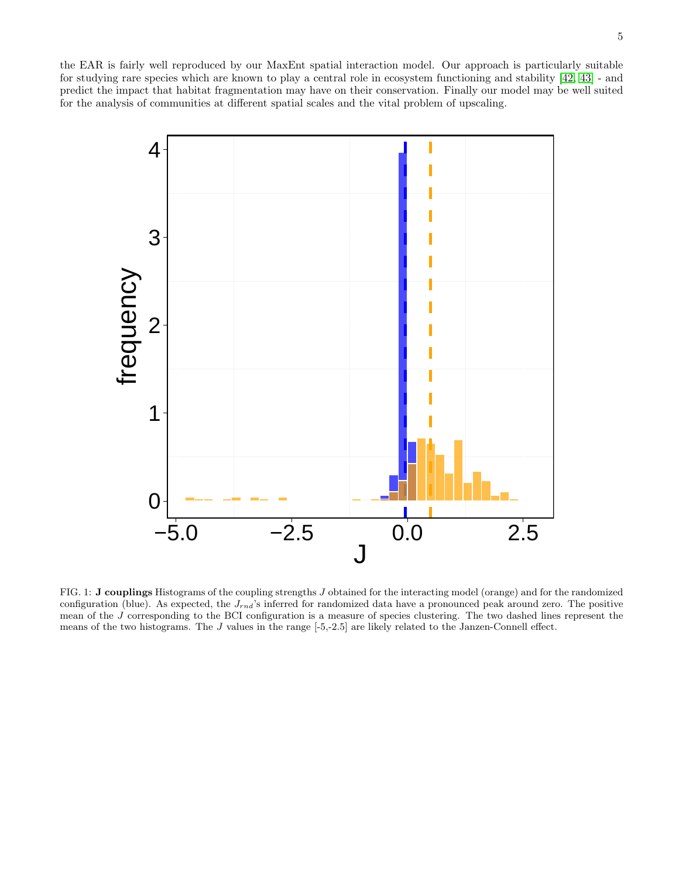the EAR is fairly well reproduced by our MaxEnt spatial interaction model. Our approach is particularly suitable for studying rare species which are known to play a central role in ecosystem functioning and stability [\[42,](#page-9-25) [43\]](#page-10-0) - and predict the impact that habitat fragmentation may have on their conservation. Finally our model may be well suited for the analysis of communities at different spatial scales and the vital problem of upscaling.



<span id="page-4-0"></span>FIG. 1: J couplings Histograms of the coupling strengths J obtained for the interacting model (orange) and for the randomized configuration (blue). As expected, the  $J_{rnd}$ 's inferred for randomized data have a pronounced peak around zero. The positive mean of the  $J$  corresponding to the BCI configuration is a measure of species clustering. The two dashed lines represent the means of the two histograms. The J values in the range [-5,-2.5] are likely related to the Janzen-Connell effect.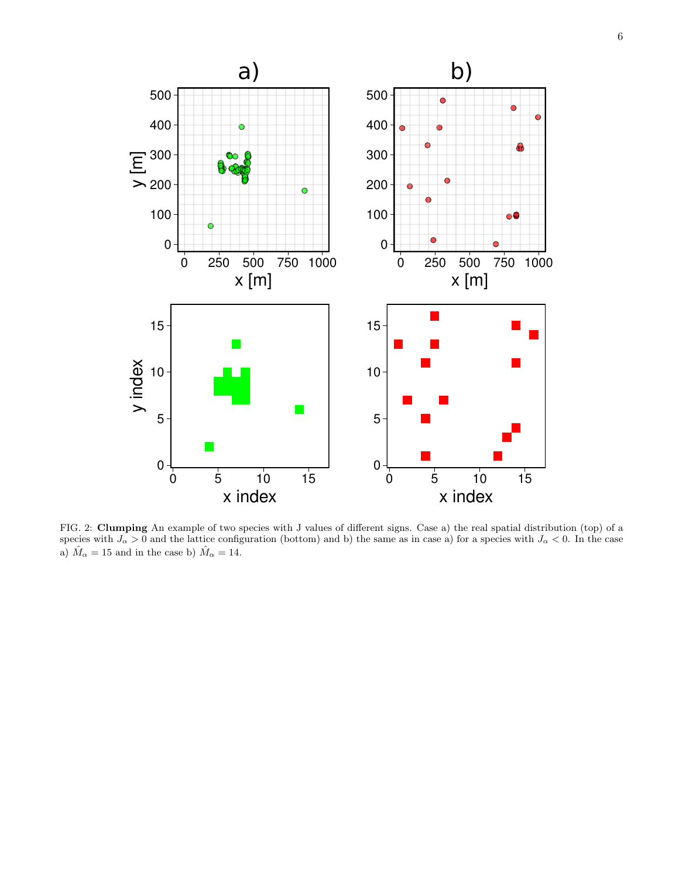

<span id="page-5-0"></span>FIG. 2: Clumping An example of two species with J values of different signs. Case a) the real spatial distribution (top) of a species with  $J_{\alpha} > 0$  and the lattice configuration (bottom) and b) the same as in case a) for a species with  $J_{\alpha} < 0$ . In the case a)  $\hat{M}_\alpha=15$  and in the case b)  $\hat{M}_\alpha=14.$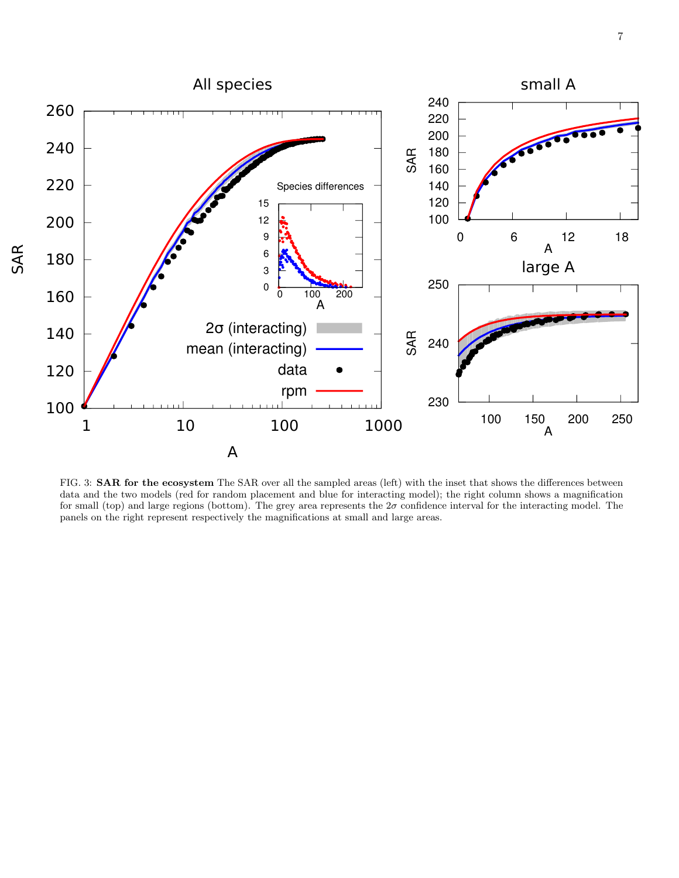

<span id="page-6-0"></span>FIG. 3: **SAR for the ecosystem** The SAR over all the sampled areas (left) with the inset that shows the differences between data and the two models (red for random placement and blue for interacting model); the right column shows a magnification for small (top) and large regions (bottom). The grey area represents the  $2\sigma$  confidence interval for the interacting model. The panels on the right represent respectively the magnifications at small and large areas.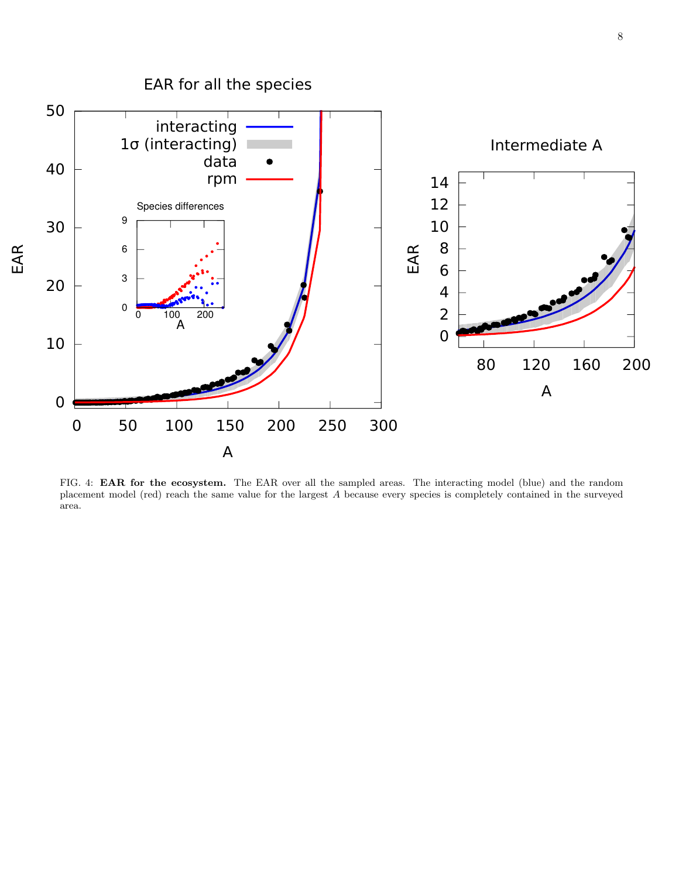

<span id="page-7-0"></span>FIG. 4: EAR for the ecosystem. The EAR over all the sampled areas. The interacting model (blue) and the random placement model (red) reach the same value for the largest A because every species is completely contained in the surveyed area.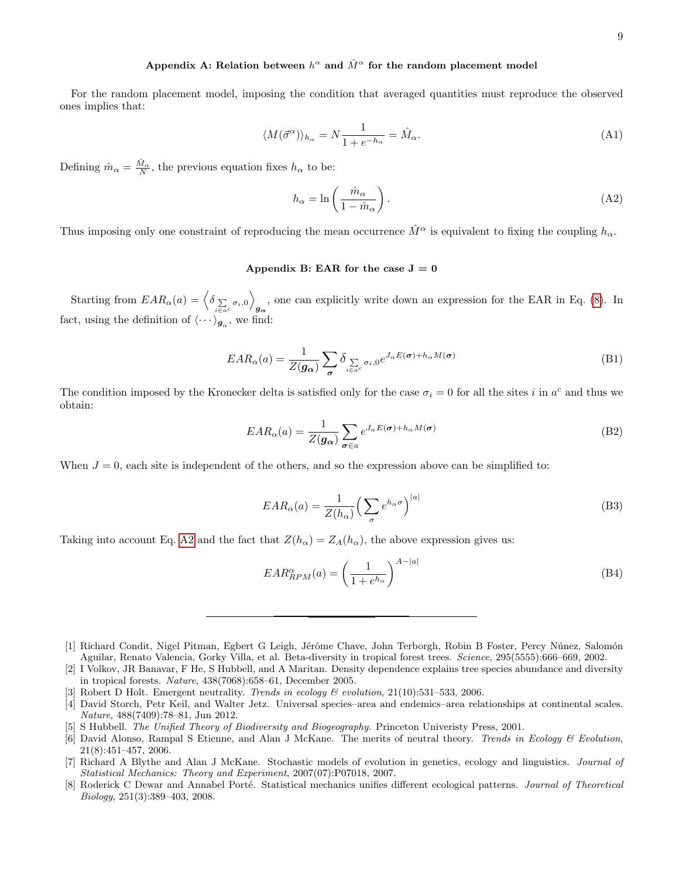# <span id="page-8-3"></span>Appendix A: Relation between  $h^{\alpha}$  and  $\hat{M}^{\alpha}$  for the random placement model

For the random placement model, imposing the condition that averaged quantities must reproduce the observed ones implies that:

$$
\langle M(\vec{\sigma}^{\alpha})\rangle_{h_{\alpha}} = N \frac{1}{1 + e^{-h_{\alpha}}} = \hat{M}_{\alpha}.
$$
\n(A1)

Defining  $\hat{m}_{\alpha} = \frac{\hat{M}_{\alpha}}{N}$ , the previous equation fixes  $h_{\alpha}$  to be:

<span id="page-8-5"></span>
$$
h_{\alpha} = \ln\left(\frac{\hat{m}_{\alpha}}{1 - \hat{m}_{\alpha}}\right). \tag{A2}
$$

Thus imposing only one constraint of reproducing the mean occurrence  $\hat{M}^{\alpha}$  is equivalent to fixing the coupling  $h_{\alpha}$ .

# <span id="page-8-4"></span>Appendix B: EAR for the case  $J = 0$

Starting from  $EAR_{\alpha}(a) = \left\langle \delta_{\sum_{i \in a^c} \sigma_i, 0} \right\rangle$ , one can explicitly write down an expression for the EAR in Eq. [\(8\)](#page-2-2). In  $g_{\alpha}$ fact, using the definition of  $\langle \cdots \rangle_{g_\alpha}$ , we find:

$$
EAR_{\alpha}(a) = \frac{1}{Z(g_{\alpha})} \sum_{\sigma} \delta_{\sum_{i \in a^{c}} \sigma_{i}, 0} e^{J_{\alpha}E(\sigma) + h_{\alpha}M(\sigma)}
$$
(B1)

The condition imposed by the Kronecker delta is satisfied only for the case  $\sigma_i = 0$  for all the sites i in  $a^c$  and thus we obtain:

$$
EAR_{\alpha}(a) = \frac{1}{Z(g_{\alpha})} \sum_{\sigma \in a} e^{J_{\alpha}E(\sigma) + h_{\alpha}M(\sigma)}
$$
(B2)

When  $J = 0$ , each site is independent of the others, and so the expression above can be simplified to:

$$
EAR_{\alpha}(a) = \frac{1}{Z(h_{\alpha})} \left(\sum_{\sigma} e^{h_{\alpha}\sigma}\right)^{|a|}
$$
 (B3)

Taking into account Eq. [A2](#page-8-5) and the fact that  $Z(h_{\alpha}) = Z_A(h_{\alpha})$ , the above expression gives us:

$$
EAR_{RPM}^{\alpha}(a) = \left(\frac{1}{1 + e^{h_{\alpha}}}\right)^{A - |a|}
$$
\n(B4)

[8] Roderick C Dewar and Annabel Porté. Statistical mechanics unifies different ecological patterns. Journal of Theoretical Biology, 251(3):389–403, 2008.

<span id="page-8-0"></span><sup>[1]</sup> Richard Condit, Nigel Pitman, Egbert G Leigh, Jérôme Chave, John Terborgh, Robin B Foster, Percy Núnez, Salomón Aguilar, Renato Valencia, Gorky Villa, et al. Beta-diversity in tropical forest trees. Science, 295(5555):666–669, 2002.

<sup>[2]</sup> I Volkov, JR Banavar, F He, S Hubbell, and A Maritan. Density dependence explains tree species abundance and diversity in tropical forests. Nature, 438(7068):658–61, December 2005.

<sup>[3]</sup> Robert D Holt. Emergent neutrality. Trends in ecology  $\mathcal B$  evolution, 21(10):531-533, 2006.

<span id="page-8-1"></span><sup>[4]</sup> David Storch, Petr Keil, and Walter Jetz. Universal species–area and endemics–area relationships at continental scales. Nature, 488(7409):78–81, Jun 2012.

<span id="page-8-2"></span><sup>[5]</sup> S Hubbell. The Unified Theory of Biodiversity and Biogeography. Princeton Univeristy Press, 2001.

<sup>[6]</sup> David Alonso, Rampal S Etienne, and Alan J McKane. The merits of neutral theory. Trends in Ecology & Evolution, 21(8):451–457, 2006.

<sup>[7]</sup> Richard A Blythe and Alan J McKane. Stochastic models of evolution in genetics, ecology and linguistics. Journal of Statistical Mechanics: Theory and Experiment, 2007(07):P07018, 2007.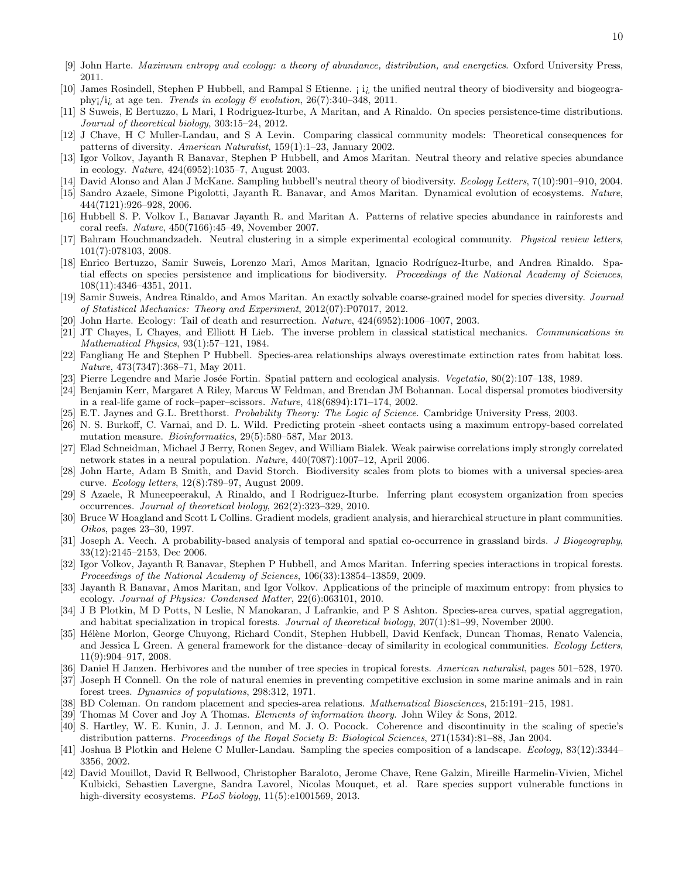- <span id="page-9-13"></span>[9] John Harte. Maximum entropy and ecology: a theory of abundance, distribution, and energetics. Oxford University Press, 2011.
- [10] James Rosindell, Stephen P Hubbell, and Rampal S Etienne. *ii* the unified neutral theory of biodiversity and biogeography;/i; at age ten. Trends in ecology  $\mathcal C$  evolution, 26(7):340-348, 2011.
- <span id="page-9-0"></span>[11] S Suweis, E Bertuzzo, L Mari, I Rodriguez-Iturbe, A Maritan, and A Rinaldo. On species persistence-time distributions. Journal of theoretical biology, 303:15–24, 2012.
- <span id="page-9-1"></span>[12] J Chave, H C Muller-Landau, and S A Levin. Comparing classical community models: Theoretical consequences for patterns of diversity. American Naturalist, 159(1):1–23, January 2002.
- <span id="page-9-14"></span>[13] Igor Volkov, Jayanth R Banavar, Stephen P Hubbell, and Amos Maritan. Neutral theory and relative species abundance in ecology. Nature, 424(6952):1035–7, August 2003.
- [14] David Alonso and Alan J McKane. Sampling hubbell's neutral theory of biodiversity. Ecology Letters, 7(10):901–910, 2004.
- [15] Sandro Azaele, Simone Pigolotti, Jayanth R. Banavar, and Amos Maritan. Dynamical evolution of ecosystems. Nature, 444(7121):926–928, 2006.
- [16] Hubbell S. P. Volkov I., Banavar Jayanth R. and Maritan A. Patterns of relative species abundance in rainforests and coral reefs. Nature, 450(7166):45–49, November 2007.
- [17] Bahram Houchmandzadeh. Neutral clustering in a simple experimental ecological community. Physical review letters, 101(7):078103, 2008.
- [18] Enrico Bertuzzo, Samir Suweis, Lorenzo Mari, Amos Maritan, Ignacio Rodríguez-Iturbe, and Andrea Rinaldo. Spatial effects on species persistence and implications for biodiversity. Proceedings of the National Academy of Sciences, 108(11):4346–4351, 2011.
- <span id="page-9-2"></span>[19] Samir Suweis, Andrea Rinaldo, and Amos Maritan. An exactly solvable coarse-grained model for species diversity. Journal of Statistical Mechanics: Theory and Experiment, 2012(07):P07017, 2012.
- <span id="page-9-3"></span>[20] John Harte. Ecology: Tail of death and resurrection. Nature, 424(6952):1006–1007, 2003.
- <span id="page-9-4"></span>[21] JT Chayes, L Chayes, and Elliott H Lieb. The inverse problem in classical statistical mechanics. Communications in Mathematical Physics, 93(1):57–121, 1984.
- <span id="page-9-5"></span>[22] Fangliang He and Stephen P Hubbell. Species-area relationships always overestimate extinction rates from habitat loss. Nature, 473(7347):368–71, May 2011.
- <span id="page-9-6"></span>[23] Pierre Legendre and Marie Josée Fortin. Spatial pattern and ecological analysis. Vegetatio, 80(2):107-138, 1989.
- <span id="page-9-7"></span>[24] Benjamin Kerr, Margaret A Riley, Marcus W Feldman, and Brendan JM Bohannan. Local dispersal promotes biodiversity in a real-life game of rock–paper–scissors. Nature, 418(6894):171–174, 2002.
- <span id="page-9-8"></span>[25] E.T. Jaynes and G.L. Bretthorst. Probability Theory: The Logic of Science. Cambridge University Press, 2003.
- <span id="page-9-9"></span>[26] N. S. Burkoff, C. Varnai, and D. L. Wild. Predicting protein -sheet contacts using a maximum entropy-based correlated mutation measure. Bioinformatics, 29(5):580–587, Mar 2013.
- <span id="page-9-10"></span>[27] Elad Schneidman, Michael J Berry, Ronen Segev, and William Bialek. Weak pairwise correlations imply strongly correlated network states in a neural population. Nature, 440(7087):1007–12, April 2006.
- <span id="page-9-11"></span>[28] John Harte, Adam B Smith, and David Storch. Biodiversity scales from plots to biomes with a universal species-area curve. Ecology letters, 12(8):789–97, August 2009.
- <span id="page-9-12"></span>[29] S Azaele, R Muneepeerakul, A Rinaldo, and I Rodriguez-Iturbe. Inferring plant ecosystem organization from species occurrences. Journal of theoretical biology, 262(2):323–329, 2010.
- [30] Bruce W Hoagland and Scott L Collins. Gradient models, gradient analysis, and hierarchical structure in plant communities. Oikos, pages 23–30, 1997.
- [31] Joseph A. Veech. A probability-based analysis of temporal and spatial co-occurrence in grassland birds. J Biogeography, 33(12):2145–2153, Dec 2006.
- <span id="page-9-15"></span>[32] Igor Volkov, Jayanth R Banavar, Stephen P Hubbell, and Amos Maritan. Inferring species interactions in tropical forests. Proceedings of the National Academy of Sciences, 106(33):13854–13859, 2009.
- <span id="page-9-16"></span>[33] Jayanth R Banavar, Amos Maritan, and Igor Volkov. Applications of the principle of maximum entropy: from physics to ecology. Journal of Physics: Condensed Matter, 22(6):063101, 2010.
- <span id="page-9-17"></span>[34] J B Plotkin, M D Potts, N Leslie, N Manokaran, J Lafrankie, and P S Ashton. Species-area curves, spatial aggregation, and habitat specialization in tropical forests. Journal of theoretical biology, 207(1):81–99, November 2000.
- <span id="page-9-18"></span>[35] Hélène Morlon, George Chuyong, Richard Condit, Stephen Hubbell, David Kenfack, Duncan Thomas, Renato Valencia, and Jessica L Green. A general framework for the distance–decay of similarity in ecological communities. Ecology Letters, 11(9):904–917, 2008.
- <span id="page-9-19"></span>[36] Daniel H Janzen. Herbivores and the number of tree species in tropical forests. American naturalist, pages 501–528, 1970.
- <span id="page-9-20"></span>[37] Joseph H Connell. On the role of natural enemies in preventing competitive exclusion in some marine animals and in rain forest trees. Dynamics of populations, 298:312, 1971.
- <span id="page-9-21"></span>[38] BD Coleman. On random placement and species-area relations. *Mathematical Biosciences*, 215:191–215, 1981.
- <span id="page-9-22"></span>[39] Thomas M Cover and Joy A Thomas. *Elements of information theory*. John Wiley & Sons, 2012.
- <span id="page-9-23"></span>[40] S. Hartley, W. E. Kunin, J. J. Lennon, and M. J. O. Pocock. Coherence and discontinuity in the scaling of specie's distribution patterns. Proceedings of the Royal Society B: Biological Sciences, 271(1534):81–88, Jan 2004.
- <span id="page-9-24"></span>[41] Joshua B Plotkin and Helene C Muller-Landau. Sampling the species composition of a landscape. Ecology, 83(12):3344– 3356, 2002.
- <span id="page-9-25"></span>[42] David Mouillot, David R Bellwood, Christopher Baraloto, Jerome Chave, Rene Galzin, Mireille Harmelin-Vivien, Michel Kulbicki, Sebastien Lavergne, Sandra Lavorel, Nicolas Mouquet, et al. Rare species support vulnerable functions in high-diversity ecosystems. *PLoS biology*, 11(5):e1001569, 2013.